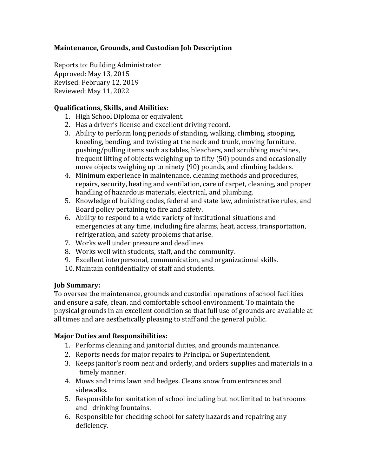# **Maintenance, Grounds, and Custodian Job Description**

Reports to: Building Administrator Approved: May 13, 2015 Revised: February 12, 2019 Reviewed: May 11, 2022

## **Qualifications, Skills, and Abilities**:

- 1. High School Diploma or equivalent.
- 2. Has a driver's license and excellent driving record.
- 3. Ability to perform long periods of standing, walking, climbing, stooping, kneeling, bending, and twisting at the neck and trunk, moving furniture, pushing/pulling items such as tables, bleachers, and scrubbing machines, frequent lifting of objects weighing up to fifty (50) pounds and occasionally move objects weighing up to ninety (90) pounds, and climbing ladders.
- 4. Minimum experience in maintenance, cleaning methods and procedures, repairs, security, heating and ventilation, care of carpet, cleaning, and proper handling of hazardous materials, electrical, and plumbing.
- 5. Knowledge of building codes, federal and state law, administrative rules, and Board policy pertaining to fire and safety.
- 6. Ability to respond to a wide variety of institutional situations and emergencies at any time, including fire alarms, heat, access, transportation, refrigeration, and safety problems that arise.
- 7. Works well under pressure and deadlines
- 8. Works well with students, staff, and the community.
- 9. Excellent interpersonal, communication, and organizational skills.
- 10. Maintain confidentiality of staff and students.

### **Job Summary:**

To oversee the maintenance, grounds and custodial operations of school facilities and ensure a safe, clean, and comfortable school environment. To maintain the physical grounds in an excellent condition so that full use of grounds are available at all times and are aesthetically pleasing to staff and the general public.

### **Major Duties and Responsibilities:**

- 1. Performs cleaning and janitorial duties, and grounds maintenance.
- 2. Reports needs for major repairs to Principal or Superintendent.
- 3. Keeps janitor's room neat and orderly, and orders supplies and materials in a timely manner.
- 4. Mows and trims lawn and hedges. Cleans snow from entrances and sidewalks.
- 5. Responsible for sanitation of school including but not limited to bathrooms and drinking fountains.
- 6. Responsible for checking school for safety hazards and repairing any deficiency.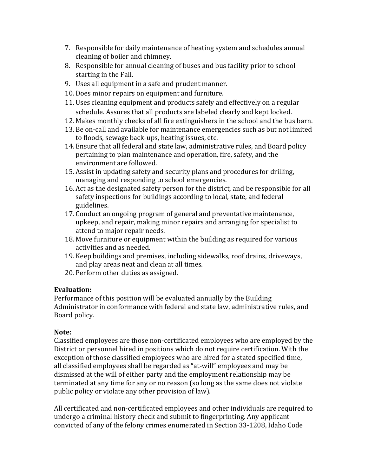- 7. Responsible for daily maintenance of heating system and schedules annual cleaning of boiler and chimney.
- 8. Responsible for annual cleaning of buses and bus facility prior to school starting in the Fall.
- 9. Uses all equipment in a safe and prudent manner.
- 10. Does minor repairs on equipment and furniture.
- 11. Uses cleaning equipment and products safely and effectively on a regular schedule. Assures that all products are labeled clearly and kept locked.
- 12. Makes monthly checks of all fire extinguishers in the school and the bus barn.
- 13. Be on-call and available for maintenance emergencies such as but not limited to floods, sewage back-ups, heating issues, etc.
- 14. Ensure that all federal and state law, administrative rules, and Board policy pertaining to plan maintenance and operation, fire, safety, and the environment are followed.
- 15. Assist in updating safety and security plans and procedures for drilling, managing and responding to school emergencies.
- 16. Act as the designated safety person for the district, and be responsible for all safety inspections for buildings according to local, state, and federal guidelines.
- 17. Conduct an ongoing program of general and preventative maintenance, upkeep, and repair, making minor repairs and arranging for specialist to attend to major repair needs.
- 18. Move furniture or equipment within the building as required for various activities and as needed.
- 19. Keep buildings and premises, including sidewalks, roof drains, driveways, and play areas neat and clean at all times.
- 20. Perform other duties as assigned.

### **Evaluation:**

Performance of this position will be evaluated annually by the Building Administrator in conformance with federal and state law, administrative rules, and Board policy.

### **Note:**

Classified employees are those non-certificated employees who are employed by the District or personnel hired in positions which do not require certification. With the exception of those classified employees who are hired for a stated specified time, all classified employees shall be regarded as "at-will" employees and may be dismissed at the will of either party and the employment relationship may be terminated at any time for any or no reason (so long as the same does not violate public policy or violate any other provision of law).

All certificated and non-certificated employees and other individuals are required to undergo a criminal history check and submit to fingerprinting. Any applicant convicted of any of the felony crimes enumerated in Section 33-1208, Idaho Code